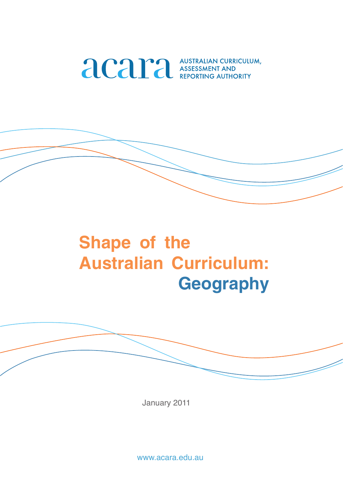

# **Shape of the Australian Curriculum: Geography**

January 2011

www.acara.edu.au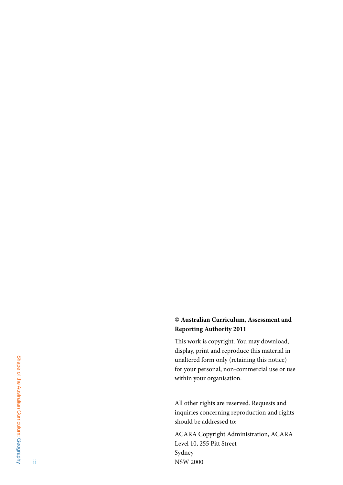### **© Australian Curriculum, Assessment and Reporting Authority 2011**

This work is copyright. You may download, display, print and reproduce this material in unaltered form only (retaining this notice) for your personal, non-commercial use or use within your organisation.

All other rights are reserved. Requests and inquiries concerning reproduction and rights should be addressed to:

ACARA Copyright Administration, ACARA Level 10, 255 Pitt Street Sydney NSW 2000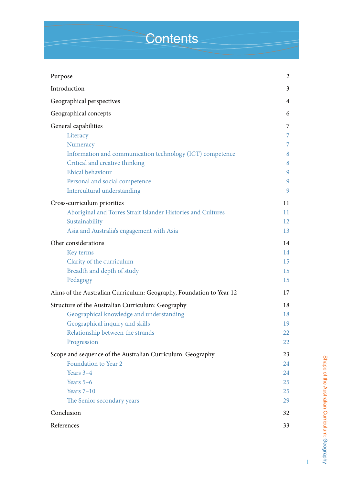# **Contents**

| Purpose                                                             | $\overline{c}$ |
|---------------------------------------------------------------------|----------------|
| Introduction                                                        | 3              |
| Geographical perspectives                                           | 4              |
| Geographical concepts                                               | 6              |
| General capabilities                                                | 7              |
| Literacy                                                            | 7              |
| Numeracy                                                            | 7              |
| Information and communication technology (ICT) competence           | 8              |
| Critical and creative thinking                                      | 8              |
| Ehical behaviour                                                    | 9              |
| Personal and social competence                                      | 9              |
| Intercultural understanding                                         | 9              |
|                                                                     | 11             |
| Cross-curriculum priorities                                         | 11             |
| Aboriginal and Torres Strait Islander Histories and Cultures        |                |
| Sustainability                                                      | 12<br>13       |
| Asia and Australia's engagement with Asia                           |                |
| Oher considerations                                                 | 14             |
| Key terms                                                           | 14             |
| Clarity of the curriculum                                           | 15             |
| Breadth and depth of study                                          | 15             |
| Pedagogy                                                            | 15             |
| Aims of the Australian Curriculum: Geography, Foundation to Year 12 | 17             |
| Structure of the Australian Curriculum: Geography                   | 18             |
| Geographical knowledge and understanding                            | 18             |
| Geographical inquiry and skills                                     | 19             |
| Relationship between the strands                                    | 22             |
| Progression                                                         | 22             |
| Scope and sequence of the Australian Curriculum: Geography          | 23             |
| Foundation to Year 2                                                | 24             |
| Years 3-4                                                           | 24             |
| Years 5-6                                                           | 25             |
| Years $7-10$                                                        | 25             |
| The Senior secondary years                                          | 29             |
| Conclusion                                                          | 32             |
| References                                                          | 33             |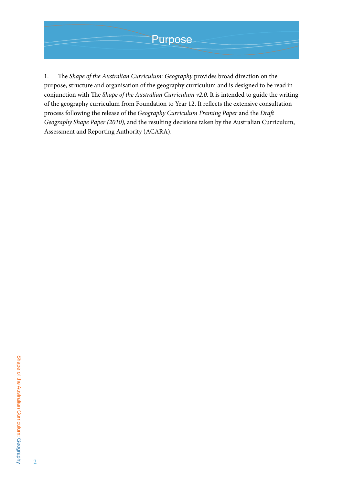# **Purpose**

1. The *Shape of the Australian Curriculum: Geography* provides broad direction on the purpose, structure and organisation of the geography curriculum and is designed to be read in conjunction with The *Shape of the Australian Curriculum v2.0*. It is intended to guide the writing of the geography curriculum from Foundation to Year 12. It reflects the extensive consultation process following the release of the *Geography Curriculum Framing Paper* and the *Draft Geography Shape Paper (2010)*, and the resulting decisions taken by the Australian Curriculum, Assessment and Reporting Authority (ACARA).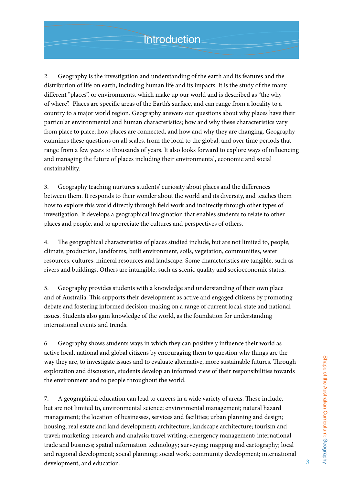2. Geography is the investigation and understanding of the earth and its features and the distribution of life on earth, including human life and its impacts. It is the study of the many different "places", or environments, which make up our world and is described as "the why of where". Places are specific areas of the Earth's surface, and can range from a locality to a country to a major world region. Geography answers our questions about why places have their particular environmental and human characteristics; how and why these characteristics vary from place to place; how places are connected, and how and why they are changing. Geography examines these questions on all scales, from the local to the global, and over time periods that range from a few years to thousands of years. It also looks forward to explore ways of influencing and managing the future of places including their environmental, economic and social sustainability.

3. Geography teaching nurtures students' curiosity about places and the differences between them. It responds to their wonder about the world and its diversity, and teaches them how to explore this world directly through field work and indirectly through other types of investigation. It develops a geographical imagination that enables students to relate to other places and people, and to appreciate the cultures and perspectives of others.

4. The geographical characteristics of places studied include, but are not limited to, people, climate, production, landforms, built environment, soils, vegetation, communities, water resources, cultures, mineral resources and landscape. Some characteristics are tangible, such as rivers and buildings. Others are intangible, such as scenic quality and socioeconomic status.

5. Geography provides students with a knowledge and understanding of their own place and of Australia. This supports their development as active and engaged citizens by promoting debate and fostering informed decision-making on a range of current local, state and national issues. Students also gain knowledge of the world, as the foundation for understanding international events and trends.

6. Geography shows students ways in which they can positively influence their world as active local, national and global citizens by encouraging them to question why things are the way they are, to investigate issues and to evaluate alternative, more sustainable futures. Through exploration and discussion, students develop an informed view of their responsibilities towards the environment and to people throughout the world.

7. A geographical education can lead to careers in a wide variety of areas. These include, but are not limited to, environmental science; environmental management; natural hazard management; the location of businesses, services and facilities; urban planning and design; housing; real estate and land development; architecture; landscape architecture; tourism and travel; marketing; research and analysis; travel writing; emergency management; international trade and business; spatial information technology; surveying; mapping and cartography; local and regional development; social planning; social work; community development; international development, and education.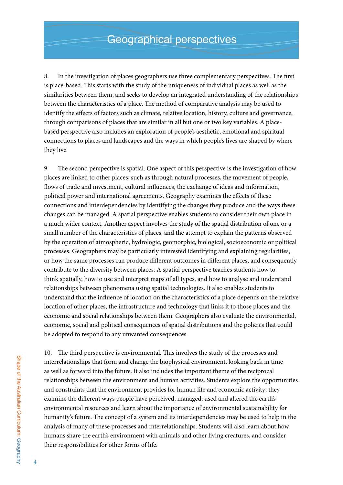8. In the investigation of places geographers use three complementary perspectives. The first is place-based. This starts with the study of the uniqueness of individual places as well as the similarities between them, and seeks to develop an integrated understanding of the relationships between the characteristics of a place. The method of comparative analysis may be used to identify the effects of factors such as climate, relative location, history, culture and governance, through comparisons of places that are similar in all but one or two key variables. A placebased perspective also includes an exploration of people's aesthetic, emotional and spiritual connections to places and landscapes and the ways in which people's lives are shaped by where they live.

9. The second perspective is spatial. One aspect of this perspective is the investigation of how places are linked to other places, such as through natural processes, the movement of people, flows of trade and investment, cultural influences, the exchange of ideas and information, political power and international agreements. Geography examines the effects of these connections and interdependencies by identifying the changes they produce and the ways these changes can be managed. A spatial perspective enables students to consider their own place in a much wider context. Another aspect involves the study of the spatial distribution of one or a small number of the characteristics of places, and the attempt to explain the patterns observed by the operation of atmospheric, hydrologic, geomorphic, biological, socioeconomic or political processes. Geographers may be particularly interested identifying and explaining regularities, or how the same processes can produce different outcomes in different places, and consequently contribute to the diversity between places. A spatial perspective teaches students how to think spatially, how to use and interpret maps of all types, and how to analyse and understand relationships between phenomena using spatial technologies. It also enables students to understand that the influence of location on the characteristics of a place depends on the relative location of other places, the infrastructure and technology that links it to those places and the economic and social relationships between them. Geographers also evaluate the environmental, economic, social and political consequences of spatial distributions and the policies that could be adopted to respond to any unwanted consequences.

10. The third perspective is environmental. This involves the study of the processes and interrelationships that form and change the biophysical environment, looking back in time as well as forward into the future. It also includes the important theme of the reciprocal relationships between the environment and human activities. Students explore the opportunities and constraints that the environment provides for human life and economic activity; they examine the different ways people have perceived, managed, used and altered the earth's environmental resources and learn about the importance of environmental sustainability for humanity's future. The concept of a system and its interdependencies may be used to help in the analysis of many of these processes and interrelationships. Students will also learn about how humans share the earth's environment with animals and other living creatures, and consider their responsibilities for other forms of life.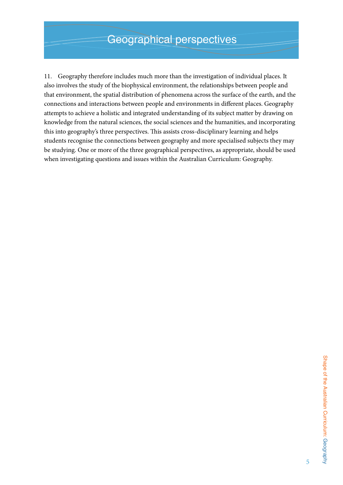11. Geography therefore includes much more than the investigation of individual places. It also involves the study of the biophysical environment, the relationships between people and that environment, the spatial distribution of phenomena across the surface of the earth, and the connections and interactions between people and environments in different places. Geography attempts to achieve a holistic and integrated understanding of its subject matter by drawing on knowledge from the natural sciences, the social sciences and the humanities, and incorporating this into geography's three perspectives. This assists cross-disciplinary learning and helps students recognise the connections between geography and more specialised subjects they may be studying. One or more of the three geographical perspectives, as appropriate, should be used when investigating questions and issues within the Australian Curriculum: Geography.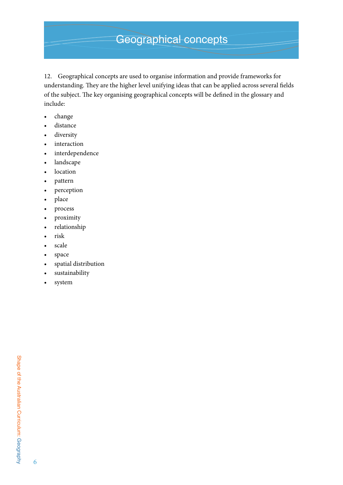# Geographical concepts

12. Geographical concepts are used to organise information and provide frameworks for understanding. They are the higher level unifying ideas that can be applied across several fields of the subject. The key organising geographical concepts will be defined in the glossary and include:

- • change
- • distance
- • diversity
- interaction
- • interdependence
- landscape
- location
- • pattern
- • perception
- place
- • process
- • proximity
- • relationship
- • risk
- scale
- • space
- spatial distribution
- sustainability
- system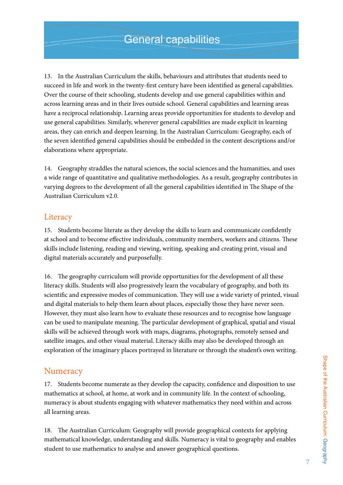13. In the Australian Curriculum the skills, behaviours and attributes that students need to succeed in life and work in the twenty-first century have been identified as general capabilities. Over the course of their schooling, students develop and use general capabilities within and across learning areas and in their lives outside school. General capabilities and learning areas have a reciprocal relationship. Learning areas provide opportunities for students to develop and use general capabilities. Similarly, wherever general capabilities are made explicit in learning areas, they can enrich and deepen learning. In the Australian Curriculum: Geography, each of the seven identified general capabilities should be embedded in the content descriptions and/or elaborations where appropriate.

14. Geography straddles the natural sciences, the social sciences and the humanities, and uses a wide range of quantitative and qualitative methodologies. As a result, geography contributes in varying degrees to the development of all the general capabilities identified in The Shape of the Australian Curriculum v2.0.

### **Literacy**

15. Students become literate as they develop the skills to learn and communicate confidently at school and to become effective individuals, community members, workers and citizens. These skills include listening, reading and viewing, writing, speaking and creating print, visual and digital materials accurately and purposefully.

16. The geography curriculum will provide opportunities for the development of all these literacy skills. Students will also progressively learn the vocabulary of geography, and both its scientific and expressive modes of communication. They will use a wide variety of printed, visual and digital materials to help them learn about places, especially those they have never seen. However, they must also learn how to evaluate these resources and to recognise how language can be used to manipulate meaning. The particular development of graphical, spatial and visual skills will be achieved through work with maps, diagrams, photographs, remotely sensed and satellite images, and other visual material. Literacy skills may also be developed through an exploration of the imaginary places portrayed in literature or through the student's own writing.

### **Numeracy**

17. Students become numerate as they develop the capacity, confidence and disposition to use mathematics at school, at home, at work and in community life. In the context of schooling, numeracy is about students engaging with whatever mathematics they need within and across all learning areas.

18. The Australian Curriculum: Geography will provide geographical contexts for applying mathematical knowledge, understanding and skills. Numeracy is vital to geography and enables student to use mathematics to analyse and answer geographical questions.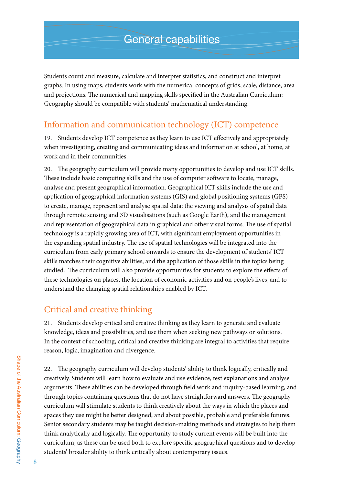Students count and measure, calculate and interpret statistics, and construct and interpret graphs. In using maps, students work with the numerical concepts of grids, scale, distance, area and projections. The numerical and mapping skills specified in the Australian Curriculum: Geography should be compatible with students' mathematical understanding.

# Information and communication technology (ICT) competence

19. Students develop ICT competence as they learn to use ICT effectively and appropriately when investigating, creating and communicating ideas and information at school, at home, at work and in their communities.

20. The geography curriculum will provide many opportunities to develop and use ICT skills. These include basic computing skills and the use of computer software to locate, manage, analyse and present geographical information. Geographical ICT skills include the use and application of geographical information systems (GIS) and global positioning systems (GPS) to create, manage, represent and analyse spatial data; the viewing and analysis of spatial data through remote sensing and 3D visualisations (such as Google Earth), and the management and representation of geographical data in graphical and other visual forms. The use of spatial technology is a rapidly growing area of ICT, with significant employment opportunities in the expanding spatial industry. The use of spatial technologies will be integrated into the curriculum from early primary school onwards to ensure the development of students' ICT skills matches their cognitive abilities, and the application of those skills in the topics being studied. The curriculum will also provide opportunities for students to explore the effects of these technologies on places, the location of economic activities and on people's lives, and to understand the changing spatial relationships enabled by ICT.

# Critical and creative thinking

21. Students develop critical and creative thinking as they learn to generate and evaluate knowledge, ideas and possibilities, and use them when seeking new pathways or solutions. In the context of schooling, critical and creative thinking are integral to activities that require reason, logic, imagination and divergence.

22. The geography curriculum will develop students' ability to think logically, critically and creatively. Students will learn how to evaluate and use evidence, test explanations and analyse arguments. These abilities can be developed through field work and inquiry-based learning, and through topics containing questions that do not have straightforward answers. The geography curriculum will stimulate students to think creatively about the ways in which the places and spaces they use might be better designed, and about possible, probable and preferable futures. Senior secondary students may be taught decision-making methods and strategies to help them think analytically and logically. The opportunity to study current events will be built into the curriculum, as these can be used both to explore specific geographical questions and to develop students' broader ability to think critically about contemporary issues.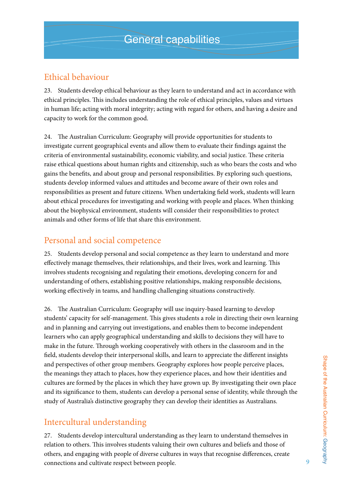# Ethical behaviour

23. Students develop ethical behaviour as they learn to understand and act in accordance with ethical principles. This includes understanding the role of ethical principles, values and virtues in human life; acting with moral integrity; acting with regard for others, and having a desire and capacity to work for the common good.

24. The Australian Curriculum: Geography will provide opportunities for students to investigate current geographical events and allow them to evaluate their findings against the criteria of environmental sustainability, economic viability, and social justice. These criteria raise ethical questions about human rights and citizenship, such as who bears the costs and who gains the benefits, and about group and personal responsibilities. By exploring such questions, students develop informed values and attitudes and become aware of their own roles and responsibilities as present and future citizens. When undertaking field work, students will learn about ethical procedures for investigating and working with people and places. When thinking about the biophysical environment, students will consider their responsibilities to protect animals and other forms of life that share this environment.

# Personal and social competence

25. Students develop personal and social competence as they learn to understand and more effectively manage themselves, their relationships, and their lives, work and learning. This involves students recognising and regulating their emotions, developing concern for and understanding of others, establishing positive relationships, making responsible decisions, working effectively in teams, and handling challenging situations constructively.

26. The Australian Curriculum: Geography will use inquiry-based learning to develop students' capacity for self-management. This gives students a role in directing their own learning and in planning and carrying out investigations, and enables them to become independent learners who can apply geographical understanding and skills to decisions they will have to make in the future. Through working cooperatively with others in the classroom and in the field, students develop their interpersonal skills, and learn to appreciate the different insights and perspectives of other group members. Geography explores how people perceive places, the meanings they attach to places, how they experience places, and how their identities and cultures are formed by the places in which they have grown up. By investigating their own place and its significance to them, students can develop a personal sense of identity, while through the study of Australia's distinctive geography they can develop their identities as Australians.

# Intercultural understanding

27. Students develop intercultural understanding as they learn to understand themselves in relation to others. This involves students valuing their own cultures and beliefs and those of others, and engaging with people of diverse cultures in ways that recognise differences, create connections and cultivate respect between people.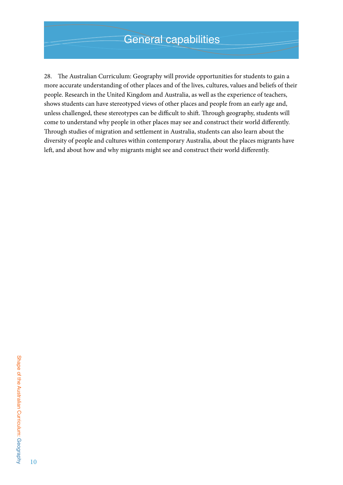28. The Australian Curriculum: Geography will provide opportunities for students to gain a more accurate understanding of other places and of the lives, cultures, values and beliefs of their people. Research in the United Kingdom and Australia, as well as the experience of teachers, shows students can have stereotyped views of other places and people from an early age and, unless challenged, these stereotypes can be difficult to shift. Through geography, students will come to understand why people in other places may see and construct their world differently. Through studies of migration and settlement in Australia, students can also learn about the diversity of people and cultures within contemporary Australia, about the places migrants have left, and about how and why migrants might see and construct their world differently.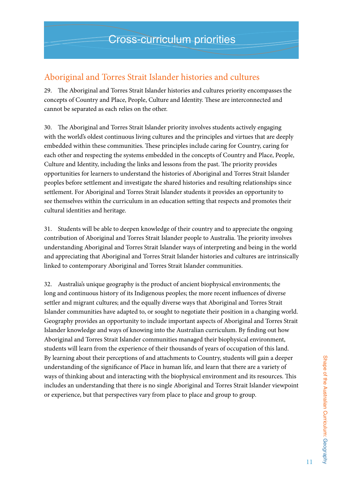# Aboriginal and Torres Strait Islander histories and cultures

29. The Aboriginal and Torres Strait Islander histories and cultures priority encompasses the concepts of Country and Place, People, Culture and Identity. These are interconnected and cannot be separated as each relies on the other.

30. The Aboriginal and Torres Strait Islander priority involves students actively engaging with the world's oldest continuous living cultures and the principles and virtues that are deeply embedded within these communities. These principles include caring for Country, caring for each other and respecting the systems embedded in the concepts of Country and Place, People, Culture and Identity, including the links and lessons from the past. The priority provides opportunities for learners to understand the histories of Aboriginal and Torres Strait Islander peoples before settlement and investigate the shared histories and resulting relationships since settlement. For Aboriginal and Torres Strait Islander students it provides an opportunity to see themselves within the curriculum in an education setting that respects and promotes their cultural identities and heritage.

31. Students will be able to deepen knowledge of their country and to appreciate the ongoing contribution of Aboriginal and Torres Strait Islander people to Australia. The priority involves understanding Aboriginal and Torres Strait Islander ways of interpreting and being in the world and appreciating that Aboriginal and Torres Strait Islander histories and cultures are intrinsically linked to contemporary Aboriginal and Torres Strait Islander communities.

32. Australia's unique geography is the product of ancient biophysical environments; the long and continuous history of its Indigenous peoples; the more recent influences of diverse settler and migrant cultures; and the equally diverse ways that Aboriginal and Torres Strait Islander communities have adapted to, or sought to negotiate their position in a changing world. Geography provides an opportunity to include important aspects of Aboriginal and Torres Strait Islander knowledge and ways of knowing into the Australian curriculum. By finding out how Aboriginal and Torres Strait Islander communities managed their biophysical environment, students will learn from the experience of their thousands of years of occupation of this land. By learning about their perceptions of and attachments to Country, students will gain a deeper understanding of the significance of Place in human life, and learn that there are a variety of ways of thinking about and interacting with the biophysical environment and its resources. This includes an understanding that there is no single Aboriginal and Torres Strait Islander viewpoint or experience, but that perspectives vary from place to place and group to group.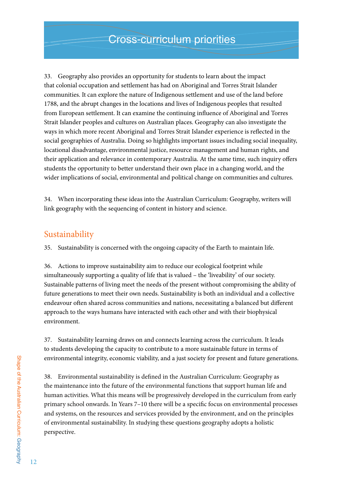33. Geography also provides an opportunity for students to learn about the impact that colonial occupation and settlement has had on Aboriginal and Torres Strait Islander communities. It can explore the nature of Indigenous settlement and use of the land before 1788, and the abrupt changes in the locations and lives of Indigenous peoples that resulted from European settlement. It can examine the continuing influence of Aboriginal and Torres Strait Islander peoples and cultures on Australian places. Geography can also investigate the ways in which more recent Aboriginal and Torres Strait Islander experience is reflected in the social geographies of Australia. Doing so highlights important issues including social inequality, locational disadvantage, environmental justice, resource management and human rights, and their application and relevance in contemporary Australia. At the same time, such inquiry offers students the opportunity to better understand their own place in a changing world, and the wider implications of social, environmental and political change on communities and cultures.

34. When incorporating these ideas into the Australian Curriculum: Geography, writers will link geography with the sequencing of content in history and science.

### Sustainability

35. Sustainability is concerned with the ongoing capacity of the Earth to maintain life.

36. Actions to improve sustainability aim to reduce our ecological footprint while simultaneously supporting a quality of life that is valued – the 'liveability' of our society. Sustainable patterns of living meet the needs of the present without compromising the ability of future generations to meet their own needs. Sustainability is both an individual and a collective endeavour often shared across communities and nations, necessitating a balanced but different approach to the ways humans have interacted with each other and with their biophysical environment.

37. Sustainability learning draws on and connects learning across the curriculum. It leads to students developing the capacity to contribute to a more sustainable future in terms of environmental integrity, economic viability, and a just society for present and future generations.

38. Environmental sustainability is defined in the Australian Curriculum: Geography as the maintenance into the future of the environmental functions that support human life and human activities. What this means will be progressively developed in the curriculum from early primary school onwards. In Years 7–10 there will be a specific focus on environmental processes and systems, on the resources and services provided by the environment, and on the principles of environmental sustainability. In studying these questions geography adopts a holistic perspective.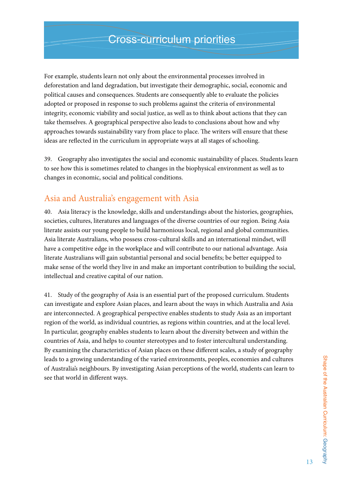For example, students learn not only about the environmental processes involved in deforestation and land degradation, but investigate their demographic, social, economic and political causes and consequences. Students are consequently able to evaluate the policies adopted or proposed in response to such problems against the criteria of environmental integrity, economic viability and social justice, as well as to think about actions that they can take themselves. A geographical perspective also leads to conclusions about how and why approaches towards sustainability vary from place to place. The writers will ensure that these ideas are reflected in the curriculum in appropriate ways at all stages of schooling.

39. Geography also investigates the social and economic sustainability of places. Students learn to see how this is sometimes related to changes in the biophysical environment as well as to changes in economic, social and political conditions.

# Asia and Australia's engagement with Asia

40. Asia literacy is the knowledge, skills and understandings about the histories, geographies, societies, cultures, literatures and languages of the diverse countries of our region. Being Asia literate assists our young people to build harmonious local, regional and global communities. Asia literate Australians, who possess cross-cultural skills and an international mindset, will have a competitive edge in the workplace and will contribute to our national advantage. Asia literate Australians will gain substantial personal and social benefits; be better equipped to make sense of the world they live in and make an important contribution to building the social, intellectual and creative capital of our nation.

41. Study of the geography of Asia is an essential part of the proposed curriculum. Students can investigate and explore Asian places, and learn about the ways in which Australia and Asia are interconnected. A geographical perspective enables students to study Asia as an important region of the world, as individual countries, as regions within countries, and at the local level. In particular, geography enables students to learn about the diversity between and within the countries of Asia, and helps to counter stereotypes and to foster intercultural understanding. By examining the characteristics of Asian places on these different scales, a study of geography leads to a growing understanding of the varied environments, peoples, economies and cultures of Australia's neighbours. By investigating Asian perceptions of the world, students can learn to see that world in different ways.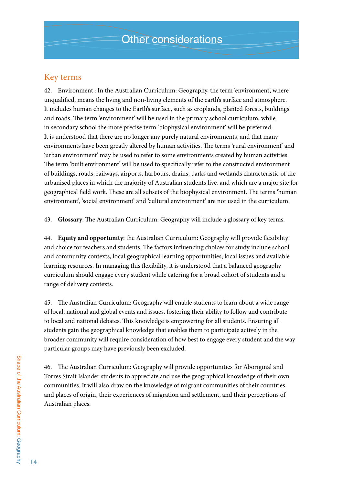# Key terms

42. Environment : In the Australian Curriculum: Geography, the term 'environment', where unqualified, means the living and non-living elements of the earth's surface and atmosphere. It includes human changes to the Earth's surface, such as croplands, planted forests, buildings and roads. The term 'environment' will be used in the primary school curriculum, while in secondary school the more precise term 'biophysical environment' will be preferred. It is understood that there are no longer any purely natural environments, and that many environments have been greatly altered by human activities. The terms 'rural environment' and 'urban environment' may be used to refer to some environments created by human activities. The term 'built environment' will be used to specifically refer to the constructed environment of buildings, roads, railways, airports, harbours, drains, parks and wetlands characteristic of the urbanised places in which the majority of Australian students live, and which are a major site for geographical field work. These are all subsets of the biophysical environment. The terms 'human environment', 'social environment' and 'cultural environment' are not used in the curriculum.

43. **Glossary**: The Australian Curriculum: Geography will include a glossary of key terms.

44. **Equity and opportunity**: the Australian Curriculum: Geography will provide flexibility and choice for teachers and students. The factors influencing choices for study include school and community contexts, local geographical learning opportunities, local issues and available learning resources. In managing this flexibility, it is understood that a balanced geography curriculum should engage every student while catering for a broad cohort of students and a range of delivery contexts.

45. The Australian Curriculum: Geography will enable students to learn about a wide range of local, national and global events and issues, fostering their ability to follow and contribute to local and national debates. This knowledge is empowering for all students. Ensuring all students gain the geographical knowledge that enables them to participate actively in the broader community will require consideration of how best to engage every student and the way particular groups may have previously been excluded.

46. The Australian Curriculum: Geography will provide opportunities for Aboriginal and Torres Strait Islander students to appreciate and use the geographical knowledge of their own communities. It will also draw on the knowledge of migrant communities of their countries and places of origin, their experiences of migration and settlement, and their perceptions of Australian places.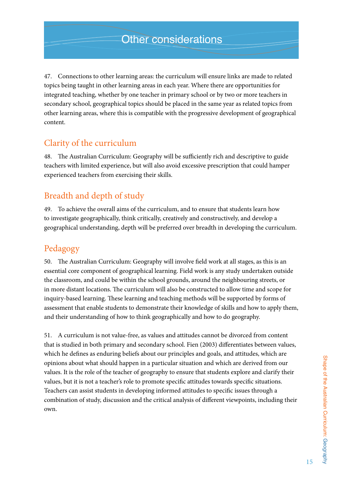47. Connections to other learning areas: the curriculum will ensure links are made to related topics being taught in other learning areas in each year. Where there are opportunities for integrated teaching, whether by one teacher in primary school or by two or more teachers in secondary school, geographical topics should be placed in the same year as related topics from other learning areas, where this is compatible with the progressive development of geographical content.

# Clarity of the curriculum

48. The Australian Curriculum: Geography will be sufficiently rich and descriptive to guide teachers with limited experience, but will also avoid excessive prescription that could hamper experienced teachers from exercising their skills.

# Breadth and depth of study

49. To achieve the overall aims of the curriculum, and to ensure that students learn how to investigate geographically, think critically, creatively and constructively, and develop a geographical understanding, depth will be preferred over breadth in developing the curriculum.

# Pedagogy

50. The Australian Curriculum: Geography will involve field work at all stages, as this is an essential core component of geographical learning. Field work is any study undertaken outside the classroom, and could be within the school grounds, around the neighbouring streets, or in more distant locations. The curriculum will also be constructed to allow time and scope for inquiry-based learning. These learning and teaching methods will be supported by forms of assessment that enable students to demonstrate their knowledge of skills and how to apply them, and their understanding of how to think geographically and how to do geography.

51. A curriculum is not value-free, as values and attitudes cannot be divorced from content that is studied in both primary and secondary school. Fien (2003) differentiates between values, which he defines as enduring beliefs about our principles and goals, and attitudes, which are opinions about what should happen in a particular situation and which are derived from our values. It is the role of the teacher of geography to ensure that students explore and clarify their values, but it is not a teacher's role to promote specific attitudes towards specific situations. Teachers can assist students in developing informed attitudes to specific issues through a combination of study, discussion and the critical analysis of different viewpoints, including their own.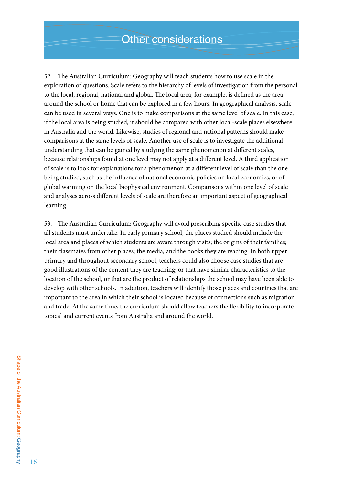52. The Australian Curriculum: Geography will teach students how to use scale in the exploration of questions. Scale refers to the hierarchy of levels of investigation from the personal to the local, regional, national and global. The local area, for example, is defined as the area around the school or home that can be explored in a few hours. In geographical analysis, scale can be used in several ways. One is to make comparisons at the same level of scale. In this case, if the local area is being studied, it should be compared with other local-scale places elsewhere in Australia and the world. Likewise, studies of regional and national patterns should make comparisons at the same levels of scale. Another use of scale is to investigate the additional understanding that can be gained by studying the same phenomenon at different scales, because relationships found at one level may not apply at a different level. A third application of scale is to look for explanations for a phenomenon at a different level of scale than the one being studied, such as the influence of national economic policies on local economies, or of global warming on the local biophysical environment. Comparisons within one level of scale and analyses across different levels of scale are therefore an important aspect of geographical learning.

53. The Australian Curriculum: Geography will avoid prescribing specific case studies that all students must undertake. In early primary school, the places studied should include the local area and places of which students are aware through visits; the origins of their families; their classmates from other places; the media, and the books they are reading. In both upper primary and throughout secondary school, teachers could also choose case studies that are good illustrations of the content they are teaching; or that have similar characteristics to the location of the school, or that are the product of relationships the school may have been able to develop with other schools. In addition, teachers will identify those places and countries that are important to the area in which their school is located because of connections such as migration and trade. At the same time, the curriculum should allow teachers the flexibility to incorporate topical and current events from Australia and around the world.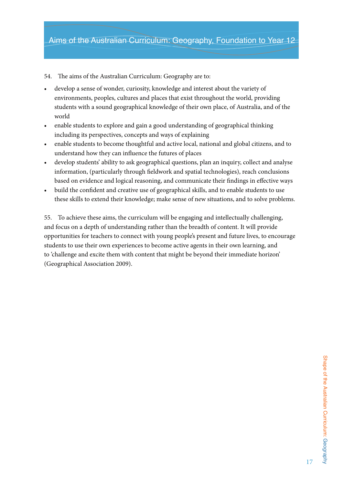54. The aims of the Australian Curriculum: Geography are to:

- develop a sense of wonder, curiosity, knowledge and interest about the variety of environments, peoples, cultures and places that exist throughout the world, providing students with a sound geographical knowledge of their own place, of Australia, and of the world
- • enable students to explore and gain a good understanding of geographical thinking including its perspectives, concepts and ways of explaining
- enable students to become thoughtful and active local, national and global citizens, and to understand how they can influence the futures of places
- develop students' ability to ask geographical questions, plan an inquiry, collect and analyse information, (particularly through fieldwork and spatial technologies), reach conclusions based on evidence and logical reasoning, and communicate their findings in effective ways
- build the confident and creative use of geographical skills, and to enable students to use these skills to extend their knowledge; make sense of new situations, and to solve problems.

55. To achieve these aims, the curriculum will be engaging and intellectually challenging, and focus on a depth of understanding rather than the breadth of content. It will provide opportunities for teachers to connect with young people's present and future lives, to encourage students to use their own experiences to become active agents in their own learning, and to 'challenge and excite them with content that might be beyond their immediate horizon' (Geographical Association 2009).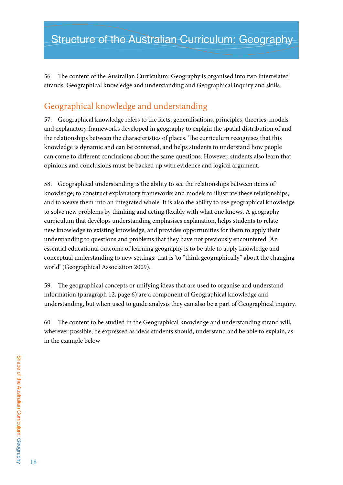56. The content of the Australian Curriculum: Geography is organised into two interrelated strands: Geographical knowledge and understanding and Geographical inquiry and skills.

# Geographical knowledge and understanding

57. Geographical knowledge refers to the facts, generalisations, principles, theories, models and explanatory frameworks developed in geography to explain the spatial distribution of and the relationships between the characteristics of places. The curriculum recognises that this knowledge is dynamic and can be contested, and helps students to understand how people can come to different conclusions about the same questions. However, students also learn that opinions and conclusions must be backed up with evidence and logical argument.

58. Geographical understanding is the ability to see the relationships between items of knowledge; to construct explanatory frameworks and models to illustrate these relationships, and to weave them into an integrated whole. It is also the ability to use geographical knowledge to solve new problems by thinking and acting flexibly with what one knows. A geography curriculum that develops understanding emphasises explanation, helps students to relate new knowledge to existing knowledge, and provides opportunities for them to apply their understanding to questions and problems that they have not previously encountered. 'An essential educational outcome of learning geography is to be able to apply knowledge and conceptual understanding to new settings: that is 'to "think geographically" about the changing world' (Geographical Association 2009).

59. The geographical concepts or unifying ideas that are used to organise and understand information (paragraph 12, page 6) are a component of Geographical knowledge and understanding, but when used to guide analysis they can also be a part of Geographical inquiry.

60. The content to be studied in the Geographical knowledge and understanding strand will, wherever possible, be expressed as ideas students should, understand and be able to explain, as in the example below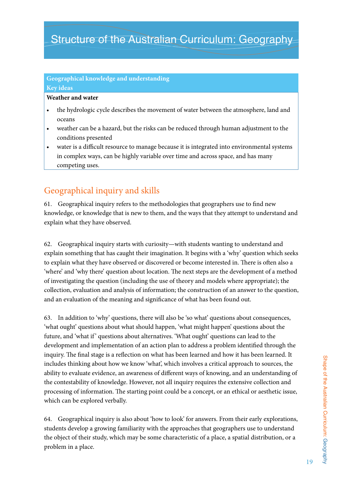# Structure of the Australian Curriculum: Geography

### **Geographical knowledge and understanding Key ideas**

### **Weather and water**

- the hydrologic cycle describes the movement of water between the atmosphere, land and oceans
- weather can be a hazard, but the risks can be reduced through human adjustment to the conditions presented
- water is a difficult resource to manage because it is integrated into environmental systems in complex ways, can be highly variable over time and across space, and has many competing uses.

# Geographical inquiry and skills

61. Geographical inquiry refers to the methodologies that geographers use to find new knowledge, or knowledge that is new to them, and the ways that they attempt to understand and explain what they have observed.

62. Geographical inquiry starts with curiosity—with students wanting to understand and explain something that has caught their imagination. It begins with a 'why' question which seeks to explain what they have observed or discovered or become interested in. There is often also a 'where' and 'why there' question about location. The next steps are the development of a method of investigating the question (including the use of theory and models where appropriate); the collection, evaluation and analysis of information; the construction of an answer to the question, and an evaluation of the meaning and significance of what has been found out.

63. In addition to 'why' questions, there will also be 'so what' questions about consequences, 'what ought' questions about what should happen, 'what might happen' questions about the future, and 'what if' questions about alternatives. 'What ought' questions can lead to the development and implementation of an action plan to address a problem identified through the inquiry. The final stage is a reflection on what has been learned and how it has been learned. It includes thinking about how we know 'what', which involves a critical approach to sources, the ability to evaluate evidence, an awareness of different ways of knowing, and an understanding of the contestability of knowledge. However, not all inquiry requires the extensive collection and processing of information. The starting point could be a concept, or an ethical or aesthetic issue, which can be explored verbally.

64. Geographical inquiry is also about 'how to look' for answers. From their early explorations, students develop a growing familiarity with the approaches that geographers use to understand the object of their study, which may be some characteristic of a place, a spatial distribution, or a problem in a place.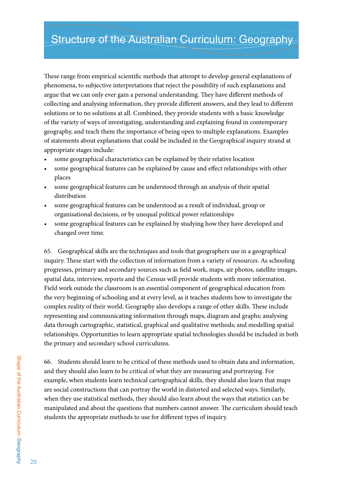These range from empirical scientific methods that attempt to develop general explanations of phenomena, to subjective interpretations that reject the possibility of such explanations and argue that we can only ever gain a personal understanding. They have different methods of collecting and analysing information, they provide different answers, and they lead to different solutions or to no solutions at all. Combined, they provide students with a basic knowledge of the variety of ways of investigating, understanding and explaining found in contemporary geography, and teach them the importance of being open to multiple explanations. Examples of statements about explanations that could be included in the Geographical inquiry strand at appropriate stages include:

- some geographical characteristics can be explained by their relative location
- some geographical features can be explained by cause and effect relationships with other places
- some geographical features can be understood through an analysis of their spatial distribution
- some geographical features can be understood as a result of individual, group or organisational decisions, or by unequal political power relationships
- some geographical features can be explained by studying how they have developed and changed over time.

65. Geographical skills are the techniques and tools that geographers use in a geographical inquiry. These start with the collection of information from a variety of resources. As schooling progresses, primary and secondary sources such as field work, maps, air photos, satellite images, spatial data, interview, reports and the Census will provide students with more information. Field work outside the classroom is an essential component of geographical education from the very beginning of schooling and at every level, as it teaches students how to investigate the complex reality of their world. Geography also develops a range of other skills. These include representing and communicating information through maps, diagram and graphs; analysing data through cartographic, statistical, graphical and qualitative methods; and modelling spatial relationships. Opportunities to learn appropriate spatial technologies should be included in both the primary and secondary school curriculums.

66. Students should learn to be critical of these methods used to obtain data and information, and they should also learn to be critical of what they are measuring and portraying. For example, when students learn technical cartographical skills, they should also learn that maps are social constructions that can portray the world in distorted and selected ways. Similarly, when they use statistical methods, they should also learn about the ways that statistics can be manipulated and about the questions that numbers cannot answer. The curriculum should teach students the appropriate methods to use for different types of inquiry.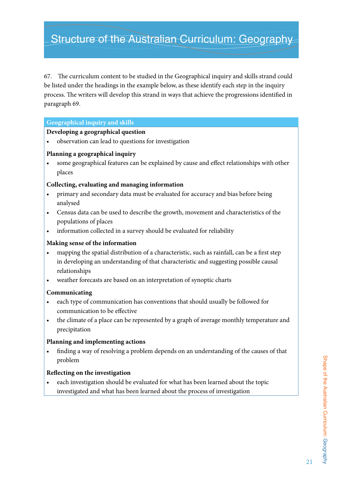# Structure of the Australian Curriculum: Geography

67. The curriculum content to be studied in the Geographical inquiry and skills strand could be listed under the headings in the example below, as these identify each step in the inquiry process. The writers will develop this strand in ways that achieve the progressions identified in paragraph 69.

### **Geographical inquiry and skills**

#### **Developing a geographical question**

• observation can lead to questions for investigation

### **Planning a geographical inquiry**

some geographical features can be explained by cause and effect relationships with other places

### **Collecting, evaluating and managing information**

- primary and secondary data must be evaluated for accuracy and bias before being analysed
- Census data can be used to describe the growth, movement and characteristics of the populations of places
- information collected in a survey should be evaluated for reliability

### **Making sense of the information**

- mapping the spatial distribution of a characteristic, such as rainfall, can be a first step in developing an understanding of that characteristic and suggesting possible causal relationships
- • weather forecasts are based on an interpretation of synoptic charts

### **Communicating**

- each type of communication has conventions that should usually be followed for communication to be effective
- the climate of a place can be represented by a graph of average monthly temperature and precipitation

### **Planning and implementing actions**

finding a way of resolving a problem depends on an understanding of the causes of that problem

### **Reflecting on the investigation**

each investigation should be evaluated for what has been learned about the topic investigated and what has been learned about the process of investigation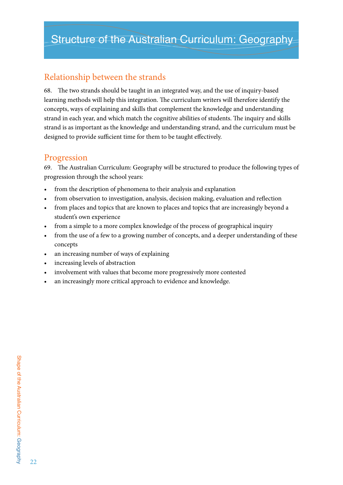# Relationship between the strands

68. The two strands should be taught in an integrated way, and the use of inquiry-based learning methods will help this integration. The curriculum writers will therefore identify the concepts, ways of explaining and skills that complement the knowledge and understanding strand in each year, and which match the cognitive abilities of students. The inquiry and skills strand is as important as the knowledge and understanding strand, and the curriculum must be designed to provide sufficient time for them to be taught effectively.

# Progression

69. The Australian Curriculum: Geography will be structured to produce the following types of progression through the school years:

- from the description of phenomena to their analysis and explanation
- from observation to investigation, analysis, decision making, evaluation and reflection
- from places and topics that are known to places and topics that are increasingly beyond a student's own experience
- from a simple to a more complex knowledge of the process of geographical inquiry
- from the use of a few to a growing number of concepts, and a deeper understanding of these concepts
- an increasing number of ways of explaining
- increasing levels of abstraction
- involvement with values that become more progressively more contested
- an increasingly more critical approach to evidence and knowledge.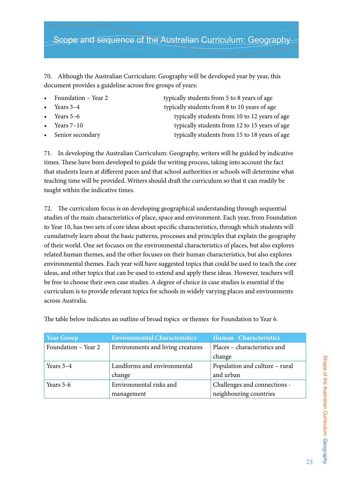# Scope and sequence of the Australian Curriculum: Geography

70. Although the Australian Curriculum: Geography will be developed year by year, this document provides a guideline across five groups of years:

- 
- 
- 
- 
- 

Foundation – Year 2 typically students from 5 to 8 years of age Years 3–4 typically students from 8 to 10 years of age Years 5–6 typically students from 10 to 12 years of age Years 7–10 typically students from 12 to 15 years of age Senior secondary typically students from 15 to 18 years of age

71. In developing the Australian Curriculum: Geography, writers will be guided by indicative times. These have been developed to guide the writing process, taking into account the fact that students learn at different paces and that school authorities or schools will determine what teaching time will be provided. Writers should draft the curriculum so that it can readily be taught within the indicative times.

72. The curriculum focus is on developing geographical understanding through sequential studies of the main characteristics of place, space and environment. Each year, from Foundation to Year 10, has two sets of core ideas about specific characteristics, through which students will cumulatively learn about the basic patterns, processes and principles that explain the geography of their world. One set focuses on the environmental characteristics of places, but also explores related human themes, and the other focuses on their human characteristics, but also explores environmental themes. Each year will have suggested topics that could be used to teach the core ideas, and other topics that can be used to extend and apply these ideas. However, teachers will be free to choose their own case studies. A degree of choice in case studies is essential if the curriculum is to provide relevant topics for schools in widely varying places and environments across Australia.

| <b>Year Group</b>   | <b>Environmental Characteristics</b> | Human Characteristics          |
|---------------------|--------------------------------------|--------------------------------|
| Foundation - Year 2 | Environments and living creatures    | Places – characteristics and   |
|                     |                                      | change                         |
| Years $3-4$         | Landforms and environmental          | Population and culture - rural |
|                     | change                               | and urban                      |
| Years 5-6           | Environmental risks and              | Challenges and connections -   |
|                     | management                           | neighbouring countries         |

The table below indicates an outline of broad topics or themes for Foundation to Year 6.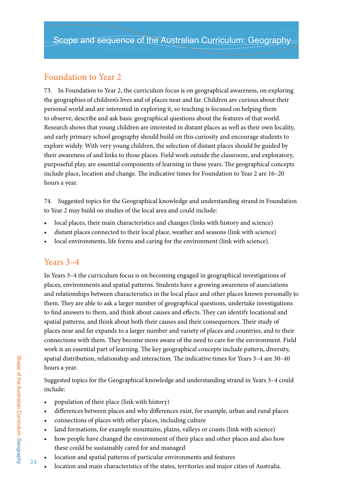# Foundation to Year 2

73. In Foundation to Year 2, the curriculum focus is on geographical awareness, on exploring the geographies of children's lives and of places near and far. Children are curious about their personal world and are interested in exploring it, so teaching is focused on helping them to observe, describe and ask basic geographical questions about the features of that world. Research shows that young children are interested in distant places as well as their own locality, and early primary school geography should build on this curiosity and encourage students to explore widely. With very young children, the selection of distant places should be guided by their awareness of and links to those places. Field work outside the classroom, and exploratory, purposeful play, are essential components of learning in these years. The geographical concepts include place, location and change. The indicative times for Foundation to Year 2 are 16–20 hours a year.

74. Suggested topics for the Geographical knowledge and understanding strand in Foundation to Year 2 may build on studies of the local area and could include:

- local places, their main characteristics and changes (links with history and science)
- distant places connected to their local place, weather and seasons (link with science)
- local environments, life forms and caring for the environment (link with science).

# Years 3–4

In Years 3–4 the curriculum focus is on becoming engaged in geographical investigations of places, environments and spatial patterns. Students have a growing awareness of associations and relationships between characteristics in the local place and other places known personally to them. They are able to ask a larger number of geographical questions, undertake investigations to find answers to them, and think about causes and effects. They can identify locational and spatial patterns, and think about both their causes and their consequences. Their study of places near and far expands to a larger number and variety of places and countries, and to their connections with them. They become more aware of the need to care for the environment. Field work is an essential part of learning. The key geographical concepts include pattern, diversity, spatial distribution, relationship and interaction. The indicative times for Years 3–4 are 30–40 hours a year.

Suggested topics for the Geographical knowledge and understanding strand in Years 3–4 could include:

- population of their place (link with history)
- • differences between places and why differences exist, for example, urban and rural places
- connections of places with other places, including culture
- land formations, for example mountains, plains, valleys or coasts (link with science)
- how people have changed the environment of their place and other places and also how these could be sustainably cared for and managed
- location and spatial patterns of particular environments and features
- location and main characteristics of the states, territories and major cities of Australia.

24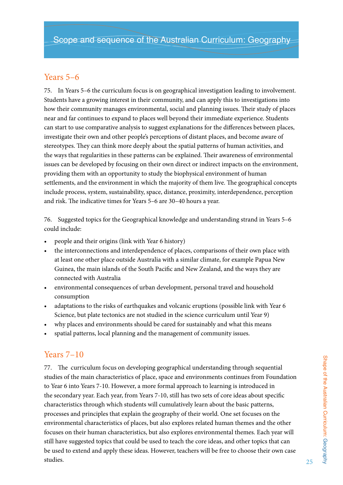# Years 5–6

75. In Years 5–6 the curriculum focus is on geographical investigation leading to involvement. Students have a growing interest in their community, and can apply this to investigations into how their community manages environmental, social and planning issues. Their study of places near and far continues to expand to places well beyond their immediate experience. Students can start to use comparative analysis to suggest explanations for the differences between places, investigate their own and other people's perceptions of distant places, and become aware of stereotypes. They can think more deeply about the spatial patterns of human activities, and the ways that regularities in these patterns can be explained. Their awareness of environmental issues can be developed by focusing on their own direct or indirect impacts on the environment, providing them with an opportunity to study the biophysical environment of human settlements, and the environment in which the majority of them live. The geographical concepts include process, system, sustainability, space, distance, proximity, interdependence, perception and risk. The indicative times for Years 5–6 are 30–40 hours a year.

76. Suggested topics for the Geographical knowledge and understanding strand in Years 5–6 could include:

- people and their origins (link with Year 6 history)
- the interconnections and interdependence of places, comparisons of their own place with at least one other place outside Australia with a similar climate, for example Papua New Guinea, the main islands of the South Pacific and New Zealand, and the ways they are connected with Australia
- environmental consequences of urban development, personal travel and household consumption
- adaptations to the risks of earthquakes and volcanic eruptions (possible link with Year 6 Science, but plate tectonics are not studied in the science curriculum until Year 9)
- why places and environments should be cared for sustainably and what this means
- spatial patterns, local planning and the management of community issues.

# Years 7–10

77. The curriculum focus on developing geographical understanding through sequential studies of the main characteristics of place, space and environments continues from Foundation to Year 6 into Years 7-10. However, a more formal approach to learning is introduced in the secondary year. Each year, from Years 7-10, still has two sets of core ideas about specific characteristics through which students will cumulatively learn about the basic patterns, processes and principles that explain the geography of their world. One set focuses on the environmental characteristics of places, but also explores related human themes and the other focuses on their human characteristics, but also explores environmental themes. Each year will still have suggested topics that could be used to teach the core ideas, and other topics that can be used to extend and apply these ideas. However, teachers will be free to choose their own case studies.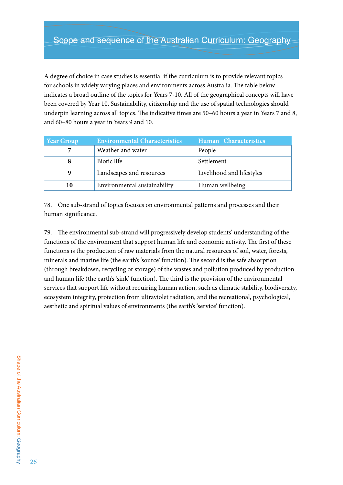A degree of choice in case studies is essential if the curriculum is to provide relevant topics for schools in widely varying places and environments across Australia. The table below indicates a broad outline of the topics for Years 7-10. All of the geographical concepts will have been covered by Year 10. Sustainability, citizenship and the use of spatial technologies should underpin learning across all topics. The indicative times are 50–60 hours a year in Years 7 and 8, and 60–80 hours a year in Years 9 and 10.

| <b>Year Group</b> | <b>Environmental Characteristics</b> | Human Characteristics     |
|-------------------|--------------------------------------|---------------------------|
|                   | Weather and water                    | People                    |
|                   | Biotic life                          | Settlement                |
| 9                 | Landscapes and resources             | Livelihood and lifestyles |
| 10                | Environmental sustainability         | Human wellbeing           |

78. One sub-strand of topics focuses on environmental patterns and processes and their human significance.

79. The environmental sub-strand will progressively develop students' understanding of the functions of the environment that support human life and economic activity. The first of these functions is the production of raw materials from the natural resources of soil, water, forests, minerals and marine life (the earth's 'source' function). The second is the safe absorption (through breakdown, recycling or storage) of the wastes and pollution produced by production and human life (the earth's 'sink' function). The third is the provision of the environmental services that support life without requiring human action, such as climatic stability, biodiversity, ecosystem integrity, protection from ultraviolet radiation, and the recreational, psychological, aesthetic and spiritual values of environments (the earth's 'service' function).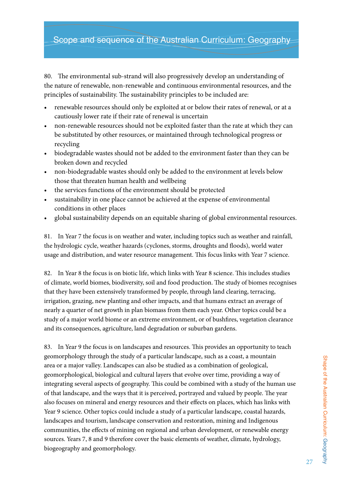# Scope and sequence of the Australian Curriculum: Geography

80. The environmental sub-strand will also progressively develop an understanding of the nature of renewable, non-renewable and continuous environmental resources, and the principles of sustainability. The sustainability principles to be included are:

- renewable resources should only be exploited at or below their rates of renewal, or at a cautiously lower rate if their rate of renewal is uncertain
- non-renewable resources should not be exploited faster than the rate at which they can be substituted by other resources, or maintained through technological progress or recycling
- biodegradable wastes should not be added to the environment faster than they can be broken down and recycled
- non-biodegradable wastes should only be added to the environment at levels below those that threaten human health and wellbeing
- the services functions of the environment should be protected
- sustainability in one place cannot be achieved at the expense of environmental conditions in other places
- global sustainability depends on an equitable sharing of global environmental resources.

81. In Year 7 the focus is on weather and water, including topics such as weather and rainfall, the hydrologic cycle, weather hazards (cyclones, storms, droughts and floods), world water usage and distribution, and water resource management. This focus links with Year 7 science.

82. In Year 8 the focus is on biotic life, which links with Year 8 science. This includes studies of climate, world biomes, biodiversity, soil and food production. The study of biomes recognises that they have been extensively transformed by people, through land clearing, terracing, irrigation, grazing, new planting and other impacts, and that humans extract an average of nearly a quarter of net growth in plan biomass from them each year. Other topics could be a study of a major world biome or an extreme environment, or of bushfires, vegetation clearance and its consequences, agriculture, land degradation or suburban gardens.

83. In Year 9 the focus is on landscapes and resources. This provides an opportunity to teach geomorphology through the study of a particular landscape, such as a coast, a mountain area or a major valley. Landscapes can also be studied as a combination of geological, geomorphological, biological and cultural layers that evolve over time, providing a way of integrating several aspects of geography. This could be combined with a study of the human use of that landscape, and the ways that it is perceived, portrayed and valued by people. The year also focuses on mineral and energy resources and their effects on places, which has links with Year 9 science. Other topics could include a study of a particular landscape, coastal hazards, landscapes and tourism, landscape conservation and restoration, mining and Indigenous communities, the effects of mining on regional and urban development, or renewable energy sources. Years 7, 8 and 9 therefore cover the basic elements of weather, climate, hydrology, biogeography and geomorphology.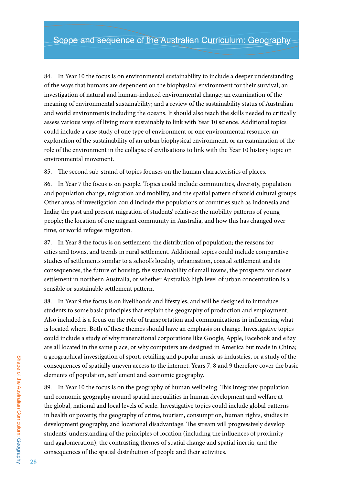84. In Year 10 the focus is on environmental sustainability to include a deeper understanding of the ways that humans are dependent on the biophysical environment for their survival; an investigation of natural and human-induced environmental change; an examination of the meaning of environmental sustainability; and a review of the sustainability status of Australian and world environments including the oceans. It should also teach the skills needed to critically assess various ways of living more sustainably to link with Year 10 science. Additional topics could include a case study of one type of environment or one environmental resource, an exploration of the sustainability of an urban biophysical environment, or an examination of the role of the environment in the collapse of civilisations to link with the Year 10 history topic on environmental movement.

85. The second sub-strand of topics focuses on the human characteristics of places.

86. In Year 7 the focus is on people. Topics could include communities, diversity, population and population change, migration and mobility, and the spatial pattern of world cultural groups. Other areas of investigation could include the populations of countries such as Indonesia and India; the past and present migration of students' relatives; the mobility patterns of young people; the location of one migrant community in Australia, and how this has changed over time, or world refugee migration.

87. In Year 8 the focus is on settlement; the distribution of population; the reasons for cities and towns, and trends in rural settlement. Additional topics could include comparative studies of settlements similar to a school's locality, urbanisation, coastal settlement and its consequences, the future of housing, the sustainability of small towns, the prospects for closer settlement in northern Australia, or whether Australia's high level of urban concentration is a sensible or sustainable settlement pattern.

88. In Year 9 the focus is on livelihoods and lifestyles, and will be designed to introduce students to some basic principles that explain the geography of production and employment. Also included is a focus on the role of transportation and communications in influencing what is located where. Both of these themes should have an emphasis on change. Investigative topics could include a study of why transnational corporations like Google, Apple, Facebook and eBay are all located in the same place, or why computers are designed in America but made in China; a geographical investigation of sport, retailing and popular music as industries, or a study of the consequences of spatially uneven access to the internet. Years 7, 8 and 9 therefore cover the basic elements of population, settlement and economic geography.

89. In Year 10 the focus is on the geography of human wellbeing. This integrates population and economic geography around spatial inequalities in human development and welfare at the global, national and local levels of scale. Investigative topics could include global patterns in health or poverty, the geography of crime, tourism, consumption, human rights, studies in development geography, and locational disadvantage. The stream will progressively develop students' understanding of the principles of location (including the influences of proximity and agglomeration), the contrasting themes of spatial change and spatial inertia, and the consequences of the spatial distribution of people and their activities.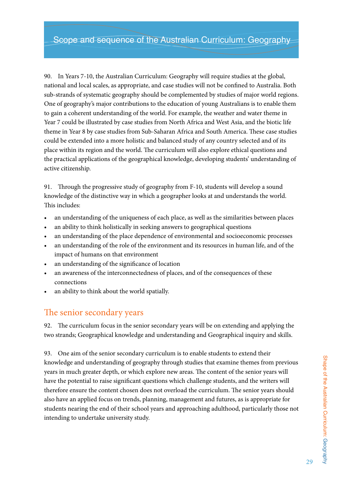90. In Years 7-10, the Australian Curriculum: Geography will require studies at the global, national and local scales, as appropriate, and case studies will not be confined to Australia. Both sub-strands of systematic geography should be complemented by studies of major world regions. One of geography's major contributions to the education of young Australians is to enable them to gain a coherent understanding of the world. For example, the weather and water theme in Year 7 could be illustrated by case studies from North Africa and West Asia, and the biotic life theme in Year 8 by case studies from Sub-Saharan Africa and South America. These case studies could be extended into a more holistic and balanced study of any country selected and of its place within its region and the world. The curriculum will also explore ethical questions and the practical applications of the geographical knowledge, developing students' understanding of active citizenship.

91. Through the progressive study of geography from F-10, students will develop a sound knowledge of the distinctive way in which a geographer looks at and understands the world. This includes:

- an understanding of the uniqueness of each place, as well as the similarities between places
- an ability to think holistically in seeking answers to geographical questions
- an understanding of the place dependence of environmental and socioeconomic processes
- an understanding of the role of the environment and its resources in human life, and of the impact of humans on that environment
- an understanding of the significance of location
- an awareness of the interconnectedness of places, and of the consequences of these connections
- an ability to think about the world spatially.

# The senior secondary years

92. The curriculum focus in the senior secondary years will be on extending and applying the two strands; Geographical knowledge and understanding and Geographical inquiry and skills.

93. One aim of the senior secondary curriculum is to enable students to extend their knowledge and understanding of geography through studies that examine themes from previous years in much greater depth, or which explore new areas. The content of the senior years will have the potential to raise significant questions which challenge students, and the writers will therefore ensure the content chosen does not overload the curriculum. The senior years should also have an applied focus on trends, planning, management and futures, as is appropriate for students nearing the end of their school years and approaching adulthood, particularly those not intending to undertake university study.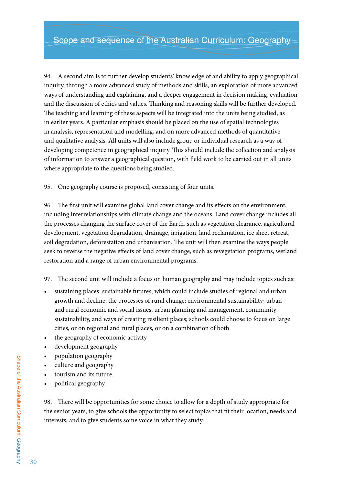94. A second aim is to further develop students' knowledge of and ability to apply geographical inquiry, through a more advanced study of methods and skills, an exploration of more advanced ways of understanding and explaining, and a deeper engagement in decision making, evaluation and the discussion of ethics and values. Thinking and reasoning skills will be further developed. The teaching and learning of these aspects will be integrated into the units being studied, as in earlier years. A particular emphasis should be placed on the use of spatial technologies in analysis, representation and modelling, and on more advanced methods of quantitative and qualitative analysis. All units will also include group or individual research as a way of developing competence in geographical inquiry. This should include the collection and analysis of information to answer a geographical question, with field work to be carried out in all units where appropriate to the questions being studied.

95. One geography course is proposed, consisting of four units.

96. The first unit will examine global land cover change and its effects on the environment, including interrelationships with climate change and the oceans. Land cover change includes all the processes changing the surface cover of the Earth, such as vegetation clearance, agricultural development, vegetation degradation, drainage, irrigation, land reclamation, ice sheet retreat, soil degradation, deforestation and urbanisation. The unit will then examine the ways people seek to reverse the negative effects of land cover change, such as revegetation programs, wetland restoration and a range of urban environmental programs.

97. The second unit will include a focus on human geography and may include topics such as:

- sustaining places: sustainable futures, which could include studies of regional and urban growth and decline; the processes of rural change; environmental sustainability; urban and rural economic and social issues; urban planning and management, community sustainability, and ways of creating resilient places; schools could choose to focus on large cities, or on regional and rural places, or on a combination of both
- the geography of economic activity
- • development geography
- • population geography
- • culture and geography
- tourism and its future
- political geography.

98. There will be opportunities for some choice to allow for a depth of study appropriate for the senior years, to give schools the opportunity to select topics that fit their location, needs and interests, and to give students some voice in what they study.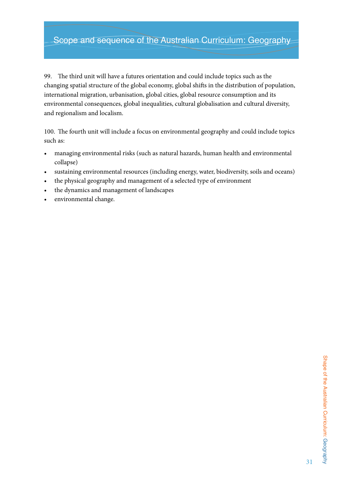# Scope and sequence of the Australian Curriculum: Geography

99. The third unit will have a futures orientation and could include topics such as the changing spatial structure of the global economy, global shifts in the distribution of population, international migration, urbanisation, global cities, global resource consumption and its environmental consequences, global inequalities, cultural globalisation and cultural diversity, and regionalism and localism.

100. The fourth unit will include a focus on environmental geography and could include topics such as:

- • managing environmental risks (such as natural hazards, human health and environmental collapse)
- • sustaining environmental resources (including energy, water, biodiversity, soils and oceans)
- the physical geography and management of a selected type of environment
- the dynamics and management of landscapes
- environmental change.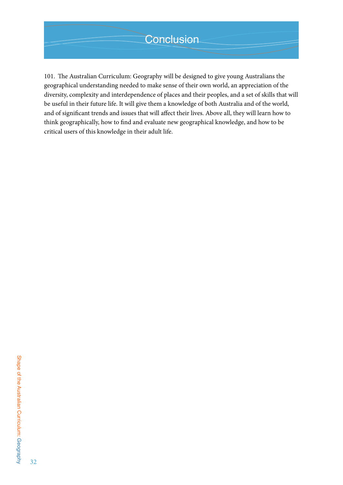101. The Australian Curriculum: Geography will be designed to give young Australians the geographical understanding needed to make sense of their own world, an appreciation of the diversity, complexity and interdependence of places and their peoples, and a set of skills that will be useful in their future life. It will give them a knowledge of both Australia and of the world, and of significant trends and issues that will affect their lives. Above all, they will learn how to think geographically, how to find and evaluate new geographical knowledge, and how to be critical users of this knowledge in their adult life.